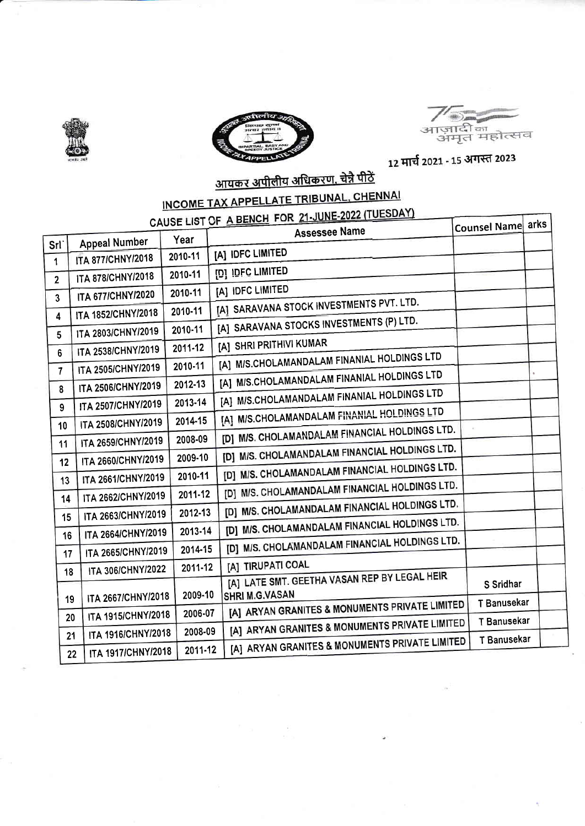





٦

12 मार्च 2021 - 15 अगस्त 2023

# <u>आयकर अपीलीय अधिकरण, चेन्नै पीठें</u>

## INCOME TAX APPELLATE TRIBUNAL, CHENNAI

### CAUSE LIST OF A BENCH FOR 21-JUNE-2022 (TUESDAY)

|                  |                          |         | CAUSE LIST OF A DETOIL TO<br>Assessee Name                        | Counsel Name arks |  |
|------------------|--------------------------|---------|-------------------------------------------------------------------|-------------------|--|
| Srl <sup>-</sup> | <b>Appeal Number</b>     | Year    |                                                                   |                   |  |
| 1                | <b>ITA 877/CHNY/2018</b> | 2010-11 | [A] IDFC LIMITED                                                  |                   |  |
| $\overline{2}$   | ITA 878/CHNY/2018        | 2010-11 | [D] IDFC LIMITED                                                  |                   |  |
| 3                | ITA 677/CHNY/2020        | 2010-11 | [A] IDFC LIMITED                                                  |                   |  |
| 4                | ITA 1852/CHNY/2018       | 2010-11 | [A] SARAVANA STOCK INVESTMENTS PVT. LTD.                          |                   |  |
|                  | ITA 2803/CHNY/2019       | 2010-11 | [A] SARAVANA STOCKS INVESTMENTS (P) LTD.                          |                   |  |
| 5                | ITA 2538/CHNY/2019       | 2011-12 | [A] SHRI PRITHIVI KUMAR                                           |                   |  |
| 6                | ITA 2505/CHNY/2019       | 2010-11 | [A] M/S.CHOLAMANDALAM FINANIAL HOLDINGS LTD                       |                   |  |
| $\mathbf{7}$     | ITA 2506/CHNY/2019       | 2012-13 | [A] M/S.CHOLAMANDALAM FINANIAL HOLDINGS LTD                       |                   |  |
| 8                |                          | 2013-14 | [A] M/S.CHOLAMANDALAM FINANIAL HOLDINGS LTD                       |                   |  |
| 9                | ITA 2507/CHNY/2019       | 2014-15 | [A] M/S.CHOLAMANDALAM FINANIAL HOLDINGS LTD                       |                   |  |
| 10               | ITA 2508/CHNY/2019       | 2008-09 | [D] M/S. CHOLAMANDALAM FINANCIAL HOLDINGS LTD.                    |                   |  |
| 11               | ITA 2659/CHNY/2019       |         | [D] M/S. CHOLAMANDALAM FINANCIAL HOLDINGS LTD.                    |                   |  |
| 12               | ITA 2660/CHNY/2019       | 2009-10 | [D] M/S. CHOLAMANDALAM FINANCIAL HOLDINGS LTD.                    |                   |  |
| 13               | ITA 2661/CHNY/2019       | 2010-11 | [D] M/S. CHOLAMANDALAM FINANCIAL HOLDINGS LTD.                    |                   |  |
| 14               | ITA 2662/CHNY/2019       | 2011-12 | [D] M/S. CHOLAMANDALAM FINANCIAL HOLDINGS LTD.                    |                   |  |
| 15               | ITA 2663/CHNY/2019       | 2012-13 | [D] M/S. CHOLAMANDALAM FINANCIAL HOLDINGS LTD.                    |                   |  |
| 16               | ITA 2664/CHNY/2019       | 2013-14 | [D] M/S. CHOLAMANDALAM FINANCIAL HOLDINGS LTD.                    |                   |  |
| 17               | ITA 2665/CHNY/2019       | 2014-15 |                                                                   |                   |  |
| 18               | ITA 306/CHNY/2022        | 2011-12 | [A] TIRUPATI COAL<br>[A] LATE SMT. GEETHA VASAN REP BY LEGAL HEIR |                   |  |
|                  |                          | 2009-10 | SHRI M.G.VASAN                                                    | S Sridhar         |  |
| 19               | ITA 2667/CHNY/2018       | 2006-07 | [A] ARYAN GRANITES & MONUMENTS PRIVATE LIMITED                    | T Banusekar       |  |
| 20               | ITA 1915/CHNY/2018       | 2008-09 | [A] ARYAN GRANITES & MONUMENTS PRIVATE LIMITED                    | T Banusekar       |  |
| 21               | ITA 1916/CHNY/2018       |         | [A] ARYAN GRANITES & MONUMENTS PRIVATE LIMITED                    | T Banusekar       |  |
|                  | ITA 1917/CHNY/2018<br>22 | 2011-12 |                                                                   |                   |  |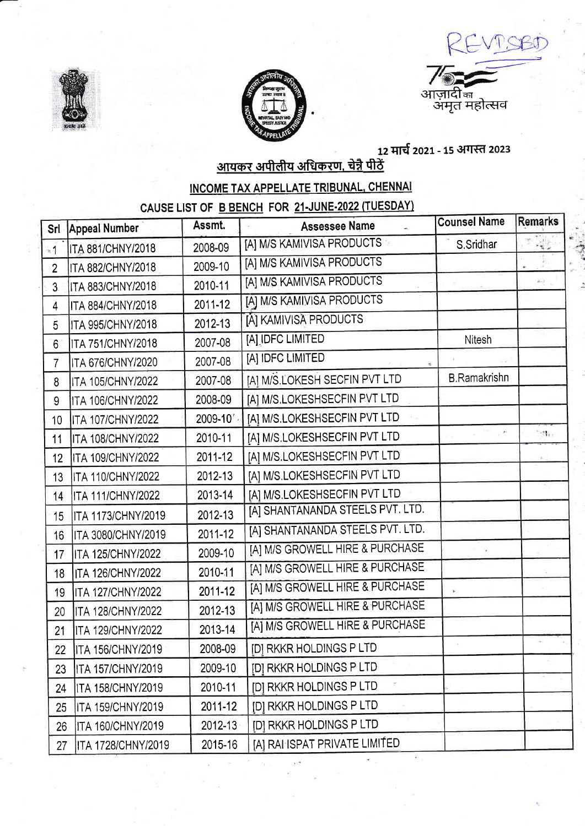





12 मार्च 2021 - 15 अगस्त 2023<br><u>आयकर अपीलीय अधिकरण, चेन्नै पीठें</u>

INCOME TAX APPELLATE TRIBUNAL, CHENNAI

CAUSE LIST OF B BENCH FOR 21-JUNE-2022 (TUESDAY)

| Srl            | <b>Appeal Number</b>      | Assmt.  | <b>Assessee Name</b>             | <b>Counsel Name</b>    | Remarks                                      |
|----------------|---------------------------|---------|----------------------------------|------------------------|----------------------------------------------|
| $*1$           | ITA 881/CHNY/2018         | 2008-09 | [A] M/S KAMIVISA PRODUCTS        | S.Sridhar              | R.                                           |
| $\overline{2}$ | ITA 882/CHNY/2018         | 2009-10 | [A] M/S KAMIVISA PRODUCTS        |                        |                                              |
| 3 <sup>1</sup> | <b>ITA 883/CHNY/2018</b>  | 2010-11 | [A] M/S KAMIVISA PRODUCTS        |                        | $\left  \mathcal{B}_{\mathcal{B}} \right $ . |
| 4              | <b>ITA 884/CHNY/2018</b>  | 2011-12 | [A] M/S KAMIVISA PRODUCTS        |                        |                                              |
| 5              | <b>ITA 995/CHNY/2018</b>  | 2012-13 | [A] KAMIVISA PRODUCTS            |                        |                                              |
| 6              | <b>ITA 751/CHNY/2018</b>  | 2007-08 | [A] IDFC LIMITED                 | Nitesh                 |                                              |
| 7              | ITA 676/CHNY/2020         | 2007-08 | [A] IDFC LIMITED                 |                        |                                              |
| 8              | <b>ITA 105/CHNY/2022</b>  | 2007-08 | [A] M/S.LOKESH SECFIN PVT LTD    | <b>B.Ramakrishn</b>    |                                              |
| 9              | <b>ITA 106/CHNY/2022</b>  | 2008-09 | [A] M/S.LOKESHSECFIN PVT LTD     |                        |                                              |
| 10             | <b>ITA 107/CHNY/2022</b>  | 2009-10 | [A] M/S.LOKESHSECFIN PVT LTD     |                        |                                              |
| 11             | <b>ITA 108/CHNY/2022</b>  | 2010-11 | [A] M/S.LOKESHSECFIN PVT LTD     | $\mathcal{F}^{\prime}$ | $\mathbb{R}^n$                               |
| 12             | <b>ITA 109/CHNY/2022</b>  | 2011-12 | [A] M/S.LOKESHSECFIN PVT LTD     |                        |                                              |
| 13             | <b>ITA 110/CHNY/2022</b>  | 2012-13 | [A] M/S.LOKESHSECFIN PVT LTD     |                        |                                              |
| 14             | <b>ITA 111/CHNY/2022</b>  | 2013-14 | [A] M/S.LOKESHSECFIN PVT LTD     |                        |                                              |
| 15             | <b>ITA 1173/CHNY/2019</b> | 2012-13 | [A] SHANTANANDA STEELS PVT. LTD. |                        |                                              |
| 16             | <b>ITA 3080/CHNY/2019</b> | 2011-12 | [A] SHANTANANDA STEELS PVT. LTD. |                        |                                              |
| 17             | <b>ITA 125/CHNY/2022</b>  | 2009-10 | [A] M/S GROWELL HIRE & PURCHASE  |                        |                                              |
| 18             | <b>ITA 126/CHNY/2022</b>  | 2010-11 | [A] M/S GROWELL HIRE & PURCHASE  |                        |                                              |
| 19             | <b>ITA 127/CHNY/2022</b>  | 2011-12 | [A] M/S GROWELL HIRE & PURCHASE  |                        |                                              |
| 20             | <b>ITA 128/CHNY/2022</b>  | 2012-13 | [A] M/S GROWELL HIRE & PURCHASE  |                        |                                              |
| 21             | <b>ITA 129/CHNY/2022</b>  | 2013-14 | [A] M/S GROWELL HIRE & PURCHASE  |                        |                                              |
| 22             | <b>ITA 156/CHNY/2019</b>  | 2008-09 | [D] RKKR HOLDINGS P LTD          |                        |                                              |
| 23             | <b>ITA 157/CHNY/2019</b>  | 2009-10 | <b>IDI RKKR HOLDINGS P LTD</b>   |                        |                                              |
| 24             | ITA 158/CHNY/2019         | 2010-11 | [D] RKKR HOLDINGS P LTD          |                        |                                              |
| 25             | ITA 159/CHNY/2019         | 2011-12 | [D] RKKR HOLDINGS P LTD          |                        |                                              |
| 26             | <b>ITA 160/CHNY/2019</b>  | 2012-13 | <b>IDI RKKR HOLDINGS P LTD</b>   |                        |                                              |
| 27             | ITA 1728/CHNY/2019        | 2015-16 | [A] RAHISPAT PRIVATE LIMITED     |                        |                                              |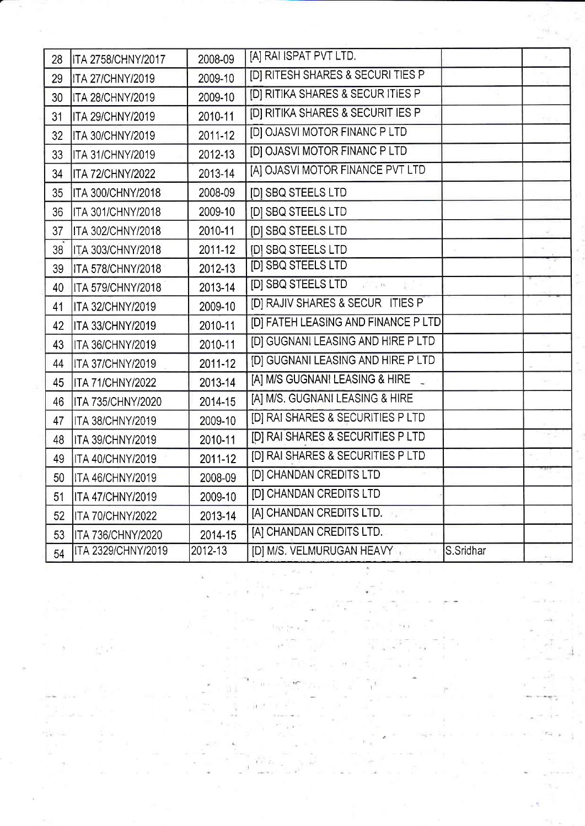| 28 | <b>ITA 2758/CHNY/2017</b> | 2008-09 | [A] RAI ISPAT PVT LTD.                       |           |  |
|----|---------------------------|---------|----------------------------------------------|-----------|--|
| 29 | <b>ITA 27/CHNY/2019</b>   | 2009-10 | <b>IDI RITESH SHARES &amp; SECURI TIES P</b> |           |  |
| 30 | ITA 28/CHNY/2019          | 2009-10 | [D] RITIKA SHARES & SECUR ITIES P            |           |  |
| 31 | ITA 29/CHNY/2019          | 2010-11 | [D] RITIKA SHARES & SECURIT IES P            |           |  |
| 32 | <b>ITA 30/CHNY/2019</b>   | 2011-12 | [D] OJASVI MOTOR FINANC P LTD                |           |  |
| 33 | <b>ITA 31/CHNY/2019</b>   | 2012-13 | [D] OJASVI MOTOR FINANC P LTD                |           |  |
| 34 | <b>ITA 72/CHNY/2022</b>   | 2013-14 | [A] OJASVI MOTOR FINANCE PVT LTD             |           |  |
| 35 | <b>ITA 300/CHNY/2018</b>  | 2008-09 | [D] SBQ STEELS LTD                           |           |  |
| 36 | ITA 301/CHNY/2018         | 2009-10 | [D] SBQ STEELS LTD                           |           |  |
| 37 | <b>ITA 302/CHNY/2018</b>  | 2010-11 | [D] SBQ STEELS LTD                           |           |  |
| 38 | <b>ITA 303/CHNY/2018</b>  | 2011-12 | [D] SBQ STEELS LTD                           |           |  |
| 39 | ITA 578/CHNY/2018         | 2012-13 | [D] SBQ STEELS LTD                           |           |  |
| 40 | ITA 579/CHNY/2018         | 2013-14 | [D] SBQ STEELS LTD<br>$\sqrt{1-\mu}$ 106     |           |  |
| 41 | <b>ITA 32/CHNY/2019</b>   | 2009-10 | [D] RAJIV SHARES & SECUR ITIES P             |           |  |
| 42 | <b>ITA 33/CHNY/2019</b>   | 2010-11 | [D] FATEH LEASING AND FINANCE P LTD          |           |  |
| 43 | <b>ITA 36/CHNY/2019</b>   | 2010-11 | [D] GUGNANI LEASING AND HIRE P LTD           |           |  |
| 44 | ITA 37/CHNY/2019          | 2011-12 | [D] GUGNANI LEASING AND HIRE P LTD           |           |  |
| 45 | <b>ITA 71/CHNY/2022</b>   | 2013-14 | [A] M/S GUGNANI LEASING & HIRE               |           |  |
| 46 | <b>ITA 735/CHNY/2020</b>  | 2014-15 | [A] M/S. GUGNANI LEASING & HIRE              |           |  |
| 47 | ITA 38/CHNY/2019          | 2009-10 | [D] RAI SHARES & SECURITIES P LTD            |           |  |
| 48 | ITA 39/CHNY/2019          | 2010-11 | [D] RAI SHARES & SECURITIES P LTD            |           |  |
| 49 | <b>ITA 40/CHNY/2019</b>   | 2011-12 | [D] RAI SHARES & SECURITIES P LTD            |           |  |
| 50 | ITA 46/CHNY/2019          | 2008-09 | [D] CHANDAN CREDITS LTD                      |           |  |
| 51 | <b>ITA 47/CHNY/2019</b>   | 2009-10 | [D] CHANDAN CREDITS LTD                      |           |  |
| 52 | <b>ITA 70/CHNY/2022</b>   | 2013-14 | [A] CHANDAN CREDITS LTD.                     |           |  |
| 53 | ITA 736/CHNY/2020         | 2014-15 | [A] CHANDAN CREDITS LTD.                     |           |  |
| 54 | ITA 2329/CHNY/2019        | 2012-13 | [D] M/S. VELMURUGAN HEAVY                    | S.Sridhar |  |

 $\Gamma_{\rm c}=\frac{1}{2}M_{\rm eff}^2=K$ 

 $\mu^{\dagger}$  , in  $\sigma^{\dagger}$ 

 $\mathfrak{t}$ 

 $\sim$   $^{-10}$ 

n an

 $\begin{array}{c} \mathbb{E} \\ \mathbb{E} \\ \mathbb{E} \end{array} \begin{array}{c} \mathbb{E} \\ \mathbb{E} \end{array} \begin{array}{c} \mathbb{E} \\ \mathbb{E} \end{array}$ 

à 2

있던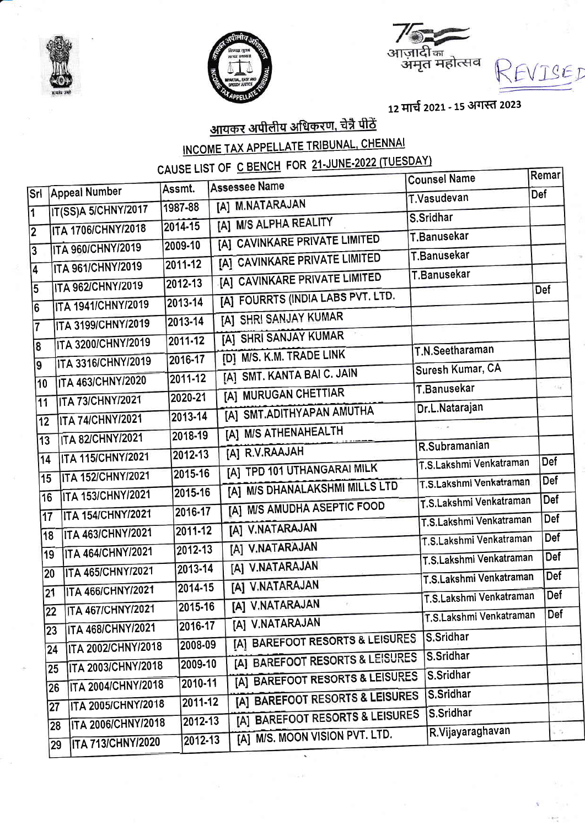



ाज़ादी <sub>का</sub><br>अमृत महोत्सव

12 मार्च 2021 - 15 अगस्त 2023

EVISEI

#### <u>आयकर अपीलीय अधिकरण, चेन्नै पीठें</u> INCOME TAX APPELLATE TRIBUNAL, CHENNAI CAUSE LIST OF C BENCH FOR 21-JUNE-2022 (TUESDAY)

|            |                           |         |                                   | <b>Counsel Name</b>     | Remar         |
|------------|---------------------------|---------|-----------------------------------|-------------------------|---------------|
| <b>Srl</b> | <b>Appeal Number</b>      | Assmt.  | <b>Assessee Name</b>              | T.Vasudevan             | <b>Def</b>    |
|            | IT(SS)A 5/CHNY/2017       | 1987-88 | [A] M.NATARAJAN                   | S.Sridhar               |               |
|            | ITA 1706/CHNY/2018        | 2014-15 | [A] M/S ALPHA REALITY             | T.Banusekar             |               |
|            | <b>ITA 960/CHNY/2019</b>  | 2009-10 | [A] CAVINKARE PRIVATE LIMITED     | T.Banusekar             |               |
|            | ITA 961/CHNY/2019         | 2011-12 | [A] CAVINKARE PRIVATE LIMITED     | T.Banusekar             |               |
|            | ITA 962/CHNY/2019         | 2012-13 | [A] CAVINKARE PRIVATE LIMITED     |                         | <b>Def</b>    |
|            | ITA 1941/CHNY/2019        | 2013-14 | [A] FOURRTS (INDIA LABS PVT. LTD. |                         |               |
|            | ITA 3199/CHNY/2019        | 2013-14 | [A] SHRI SANJAY KUMAR             |                         |               |
| 8          | ITA 3200/CHNY/2019        | 2011-12 | [A] SHRI SANJAY KUMAR             |                         |               |
| 9          | ITA 3316/CHNY/2019        | 2016-17 | [D] M/S. K.M. TRADE LINK          | T.N.Seetharaman         |               |
|            | <b>ITA 463/CHNY/2020</b>  | 2011-12 | [A] SMT. KANTA BAI C. JAIN        | Suresh Kumar, CA        |               |
| 10         | <b>ITA 73/CHNY/2021</b>   | 2020-21 | [A] MURUGAN CHETTIAR              | T.Banusekar             | $t_{\rm eff}$ |
| 11         | <b>ITA 74/CHNY/2021</b>   | 2013-14 | [A] SMT.ADITHYAPAN AMUTHA         | Dr.L.Natarajan          |               |
| 12         |                           | 2018-19 | [A] M/S ATHENAHEALTH              |                         |               |
| 13         | <b>ITA 82/CHNY/2021</b>   | 2012-13 | [A] R.V.RAAJAH                    | R.Subramanian           |               |
| 14         | ITA 115/CHNY/2021         | 2015-16 | [A] TPD 101 UTHANGARAI MILK       | T.S.Lakshmi Venkatraman | <b>Def</b>    |
| 15         | ITA 152/CHNY/2021         |         | [A] M/S DHANALAKSHMI MILLS LTD    | T.S.Lakshmi Venkatraman | <b>Def</b>    |
| 16         | <b>ITA 153/CHNY/2021</b>  | 2015-16 | [A] M/S AMUDHA ASEPTIC FOOD       | T.S.Lakshmi Venkatraman | <b>Def</b>    |
| 17         | <b>ITA 154/CHNY/2021</b>  | 2016-17 | [A] V.NATARAJAN                   | T.S.Lakshmi Venkatraman | <b>Def</b>    |
| 18         | <b>ITA 463/CHNY/2021</b>  | 2011-12 |                                   | T.S.Lakshmi Venkatraman | Def           |
| 19         | <b>ITA 464/CHNY/2021</b>  | 2012-13 | [A] V.NATARAJAN                   | T.S.Lakshmi Venkatraman | Def           |
| 20         | ITA 465/CHNY/2021         | 2013-14 | [A] V.NATARAJAN                   | T.S.Lakshmi Venkatraman | Def           |
| 21         | <b>ITA 466/CHNY/2021</b>  | 2014-15 | [A] V.NATARAJAN                   | T.S.Lakshmi Venkatraman | Def           |
| 22         | <b>ITA 467/CHNY/2021</b>  | 2015-16 | [A] V.NATARAJAN<br>'n.            | T.S.Lakshmi Venkatraman | Def           |
| 23         | <b>ITA 468/CHNY/2021</b>  | 2016-17 | [A] V.NATARAJAN                   |                         |               |
| 24         | ITA 2002/CHNY/2018        | 2008-09 | [A] BAREFOOT RESORTS & LEISURES   | S.Sridhar               |               |
| 25         | <b>ITA 2003/CHNY/2018</b> | 2009-10 | [A] BAREFOOT RESORTS & LEISURES   | S.Sridhar               |               |
| 26         | <b>ITA 2004/CHNY/2018</b> | 2010-11 | [A] BAREFOOT RESORTS & LEISURES   | S.Sridhar               |               |
| 27         | <b>ITA 2005/CHNY/2018</b> | 2011-12 | [A] BAREFOOT RESORTS & LEISURES   | S.Sridhar               |               |
|            | <b>ITA 2006/CHNY/2018</b> | 2012-13 | [A] BAREFOOT RESORTS & LEISURES   | S.Sridhar               |               |
| 28<br>29   | <b>ITA 713/CHNY/2020</b>  | 2012-13 | [A] M/S. MOON VISION PVT. LTD.    | R.Vijayaraghavan        | i G           |